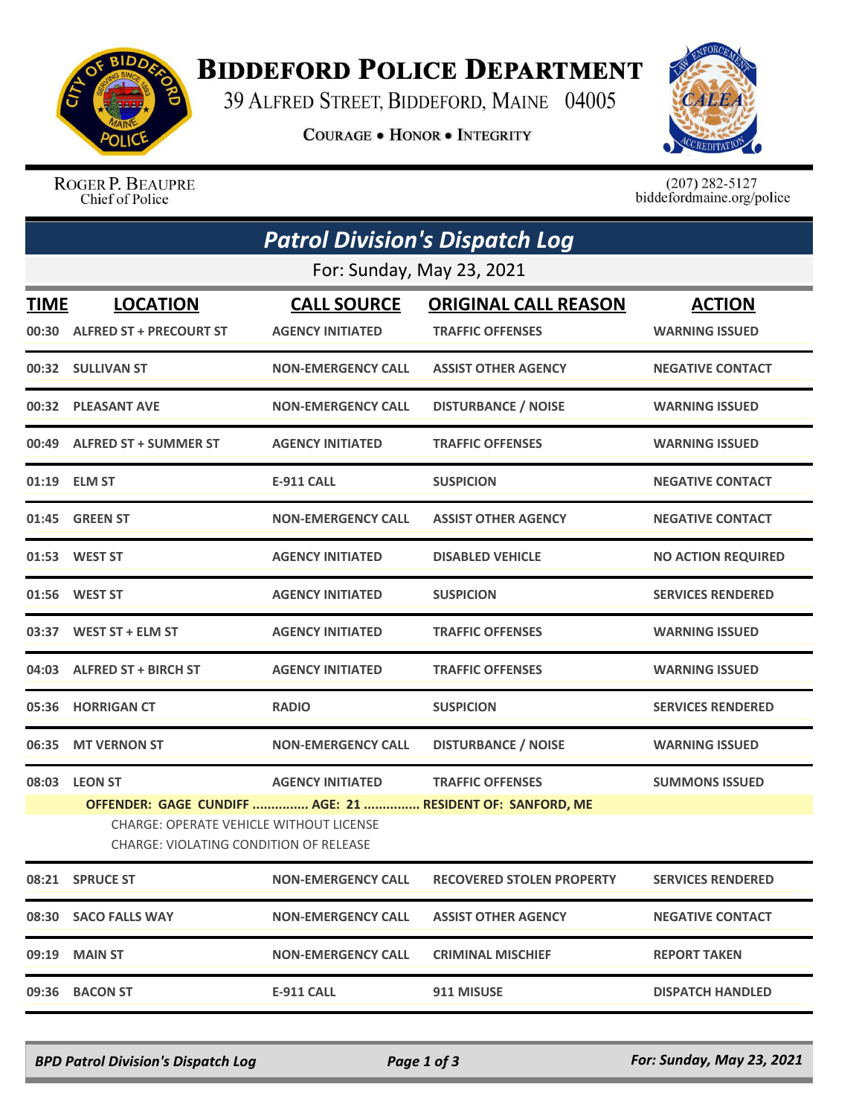

## **BIDDEFORD POLICE DEPARTMENT**

39 ALFRED STREET, BIDDEFORD, MAINE 04005

**COURAGE . HONOR . INTEGRITY** 



ROGER P. BEAUPRE Chief of Police

 $(207)$  282-5127<br>biddefordmaine.org/police

| <b>Patrol Division's Dispatch Log</b> |                                                                                                                                                       |                           |                                  |                           |  |  |  |
|---------------------------------------|-------------------------------------------------------------------------------------------------------------------------------------------------------|---------------------------|----------------------------------|---------------------------|--|--|--|
| For: Sunday, May 23, 2021             |                                                                                                                                                       |                           |                                  |                           |  |  |  |
| TIME                                  | <b>LOCATION</b>                                                                                                                                       | <b>CALL SOURCE</b>        | <b>ORIGINAL CALL REASON</b>      | <b>ACTION</b>             |  |  |  |
|                                       | 00:30 ALFRED ST + PRECOURT ST                                                                                                                         | <b>AGENCY INITIATED</b>   | <b>TRAFFIC OFFENSES</b>          | <b>WARNING ISSUED</b>     |  |  |  |
|                                       | 00:32 SULLIVAN ST                                                                                                                                     | <b>NON-EMERGENCY CALL</b> | <b>ASSIST OTHER AGENCY</b>       | <b>NEGATIVE CONTACT</b>   |  |  |  |
|                                       | 00:32 PLEASANT AVE                                                                                                                                    | <b>NON-EMERGENCY CALL</b> | <b>DISTURBANCE / NOISE</b>       | <b>WARNING ISSUED</b>     |  |  |  |
|                                       | 00:49 ALFRED ST + SUMMER ST                                                                                                                           | <b>AGENCY INITIATED</b>   | <b>TRAFFIC OFFENSES</b>          | <b>WARNING ISSUED</b>     |  |  |  |
|                                       | 01:19 ELM ST                                                                                                                                          | <b>E-911 CALL</b>         | <b>SUSPICION</b>                 | <b>NEGATIVE CONTACT</b>   |  |  |  |
|                                       | 01:45 GREEN ST                                                                                                                                        | <b>NON-EMERGENCY CALL</b> | <b>ASSIST OTHER AGENCY</b>       | <b>NEGATIVE CONTACT</b>   |  |  |  |
|                                       | 01:53 WEST ST                                                                                                                                         | <b>AGENCY INITIATED</b>   | <b>DISABLED VEHICLE</b>          | <b>NO ACTION REQUIRED</b> |  |  |  |
| 01:56                                 | <b>WEST ST</b>                                                                                                                                        | <b>AGENCY INITIATED</b>   | <b>SUSPICION</b>                 | <b>SERVICES RENDERED</b>  |  |  |  |
|                                       | 03:37 WEST ST + ELM ST                                                                                                                                | <b>AGENCY INITIATED</b>   | <b>TRAFFIC OFFENSES</b>          | <b>WARNING ISSUED</b>     |  |  |  |
|                                       | 04:03 ALFRED ST + BIRCH ST                                                                                                                            | <b>AGENCY INITIATED</b>   | <b>TRAFFIC OFFENSES</b>          | <b>WARNING ISSUED</b>     |  |  |  |
| 05:36                                 | <b>HORRIGAN CT</b>                                                                                                                                    | <b>RADIO</b>              | <b>SUSPICION</b>                 | <b>SERVICES RENDERED</b>  |  |  |  |
| 06:35                                 | <b>MT VERNON ST</b>                                                                                                                                   | <b>NON-EMERGENCY CALL</b> | <b>DISTURBANCE / NOISE</b>       | <b>WARNING ISSUED</b>     |  |  |  |
|                                       | 08:03 LEON ST                                                                                                                                         | <b>AGENCY INITIATED</b>   | <b>TRAFFIC OFFENSES</b>          | <b>SUMMONS ISSUED</b>     |  |  |  |
|                                       | OFFENDER: GAGE CUNDIFF  AGE: 21  RESIDENT OF: SANFORD, ME<br><b>CHARGE: OPERATE VEHICLE WITHOUT LICENSE</b><br>CHARGE: VIOLATING CONDITION OF RELEASE |                           |                                  |                           |  |  |  |
|                                       | 08:21 SPRUCE ST                                                                                                                                       | <b>NON-EMERGENCY CALL</b> | <b>RECOVERED STOLEN PROPERTY</b> | <b>SERVICES RENDERED</b>  |  |  |  |
|                                       | 08:30 SACO FALLS WAY                                                                                                                                  | <b>NON-EMERGENCY CALL</b> | <b>ASSIST OTHER AGENCY</b>       | <b>NEGATIVE CONTACT</b>   |  |  |  |
|                                       | 09:19 MAIN ST                                                                                                                                         | <b>NON-EMERGENCY CALL</b> | <b>CRIMINAL MISCHIEF</b>         | <b>REPORT TAKEN</b>       |  |  |  |
|                                       | 09:36 BACON ST                                                                                                                                        | <b>E-911 CALL</b>         | 911 MISUSE                       | <b>DISPATCH HANDLED</b>   |  |  |  |

*BPD Patrol Division's Dispatch Log Page 1 of 3 For: Sunday, May 23, 2021*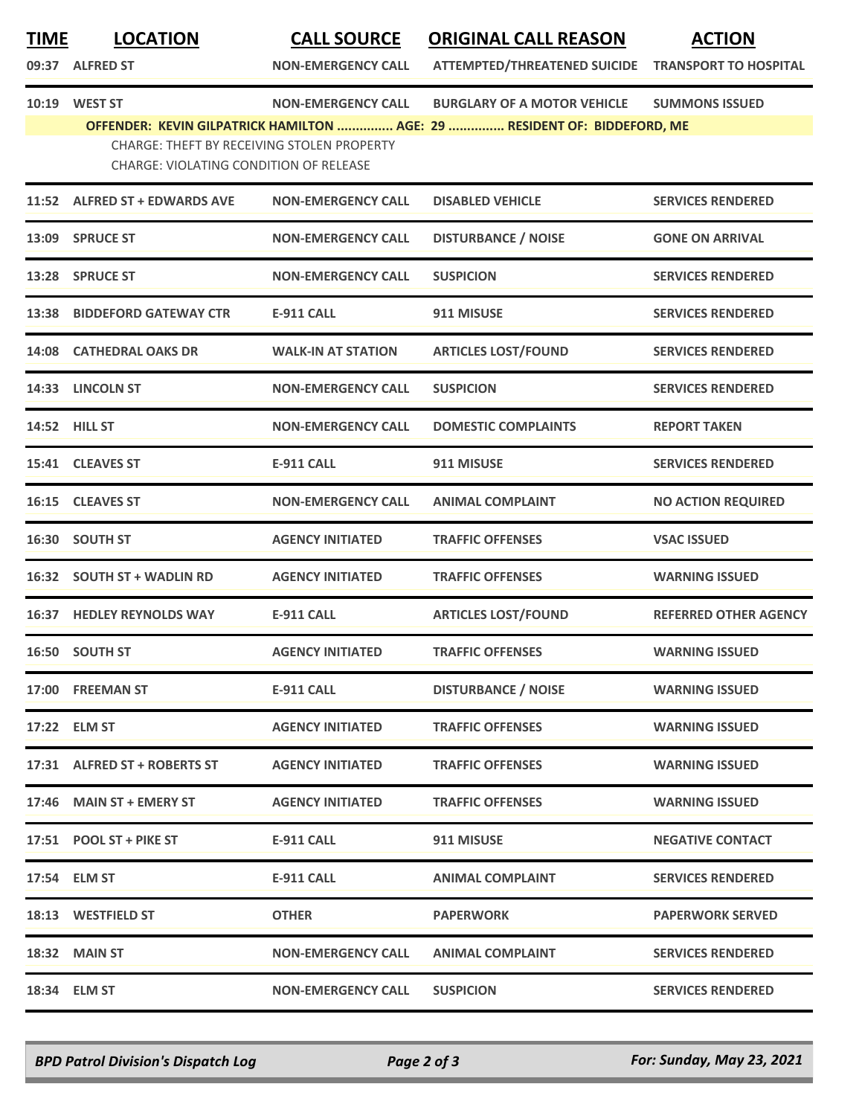**TIME LOCATION CALL SOURCE ORIGINAL CALL REASON ACTION**

| 09:37 | <b>ALFRED ST</b> |  |
|-------|------------------|--|

**09:37:39:37:39:37:37 ION-EMERGENCY CALL ATTEMPTED/THREATENED SUICIDE TRANSPORT TO HOSPITAL** 

**10:19 WEST ST NON-EMERGENCY CALL BURGLARY OF A MOTOR VEHICLE SUMMONS ISSUED**

**OFFENDER: KEVIN GILPATRICK HAMILTON ............... AGE: 29 ............... RESIDENT OF: BIDDEFORD, ME**

CHARGE: THEFT BY RECEIVING STOLEN PROPERTY

CHARGE: VIOLATING CONDITION OF RELEASE

|       | 11:52 ALFRED ST + EDWARDS AVE    | <b>NON-EMERGENCY CALL</b> | <b>DISABLED VEHICLE</b>    | <b>SERVICES RENDERED</b>     |
|-------|----------------------------------|---------------------------|----------------------------|------------------------------|
|       | 13:09 SPRUCE ST                  | <b>NON-EMERGENCY CALL</b> | <b>DISTURBANCE / NOISE</b> | <b>GONE ON ARRIVAL</b>       |
|       | 13:28 SPRUCE ST                  | <b>NON-EMERGENCY CALL</b> | <b>SUSPICION</b>           | <b>SERVICES RENDERED</b>     |
|       | 13:38 BIDDEFORD GATEWAY CTR      | <b>E-911 CALL</b>         | 911 MISUSE                 | <b>SERVICES RENDERED</b>     |
|       | 14:08 CATHEDRAL OAKS DR          | <b>WALK-IN AT STATION</b> | <b>ARTICLES LOST/FOUND</b> | <b>SERVICES RENDERED</b>     |
|       | 14:33 LINCOLN ST                 | <b>NON-EMERGENCY CALL</b> | <b>SUSPICION</b>           | <b>SERVICES RENDERED</b>     |
|       | 14:52 HILL ST                    | <b>NON-EMERGENCY CALL</b> | <b>DOMESTIC COMPLAINTS</b> | <b>REPORT TAKEN</b>          |
|       | 15:41 CLEAVES ST                 | <b>E-911 CALL</b>         | 911 MISUSE                 | <b>SERVICES RENDERED</b>     |
|       | 16:15 CLEAVES ST                 | <b>NON-EMERGENCY CALL</b> | <b>ANIMAL COMPLAINT</b>    | <b>NO ACTION REQUIRED</b>    |
|       | 16:30 SOUTH ST                   | <b>AGENCY INITIATED</b>   | <b>TRAFFIC OFFENSES</b>    | <b>VSAC ISSUED</b>           |
|       | 16:32 SOUTH ST + WADLIN RD       | <b>AGENCY INITIATED</b>   | <b>TRAFFIC OFFENSES</b>    | <b>WARNING ISSUED</b>        |
|       | <b>16:37 HEDLEY REYNOLDS WAY</b> | <b>E-911 CALL</b>         | <b>ARTICLES LOST/FOUND</b> | <b>REFERRED OTHER AGENCY</b> |
|       | 16:50 SOUTH ST                   | <b>AGENCY INITIATED</b>   | <b>TRAFFIC OFFENSES</b>    | <b>WARNING ISSUED</b>        |
| 17:00 | <b>FREEMAN ST</b>                | <b>E-911 CALL</b>         | <b>DISTURBANCE / NOISE</b> | <b>WARNING ISSUED</b>        |
| 17:22 | <b>ELM ST</b>                    | <b>AGENCY INITIATED</b>   | <b>TRAFFIC OFFENSES</b>    | <b>WARNING ISSUED</b>        |
| 17:31 | <b>ALFRED ST + ROBERTS ST</b>    | <b>AGENCY INITIATED</b>   | <b>TRAFFIC OFFENSES</b>    | <b>WARNING ISSUED</b>        |
|       | 17:46 MAIN ST + EMERY ST         | <b>AGENCY INITIATED</b>   | <b>TRAFFIC OFFENSES</b>    | <b>WARNING ISSUED</b>        |
|       | 17:51 POOL ST + PIKE ST          | E-911 CALL                | 911 MISUSE                 | <b>NEGATIVE CONTACT</b>      |
|       | 17:54 ELM ST                     | E-911 CALL                | <b>ANIMAL COMPLAINT</b>    | <b>SERVICES RENDERED</b>     |
|       | 18:13 WESTFIELD ST               | <b>OTHER</b>              | <b>PAPERWORK</b>           | <b>PAPERWORK SERVED</b>      |
|       | 18:32 MAIN ST                    | <b>NON-EMERGENCY CALL</b> | <b>ANIMAL COMPLAINT</b>    | <b>SERVICES RENDERED</b>     |
|       | 18:34 ELM ST                     | <b>NON-EMERGENCY CALL</b> | <b>SUSPICION</b>           | <b>SERVICES RENDERED</b>     |
|       |                                  |                           |                            |                              |

*BPD Patrol Division's Dispatch Log Page 2 of 3 For: Sunday, May 23, 2021*